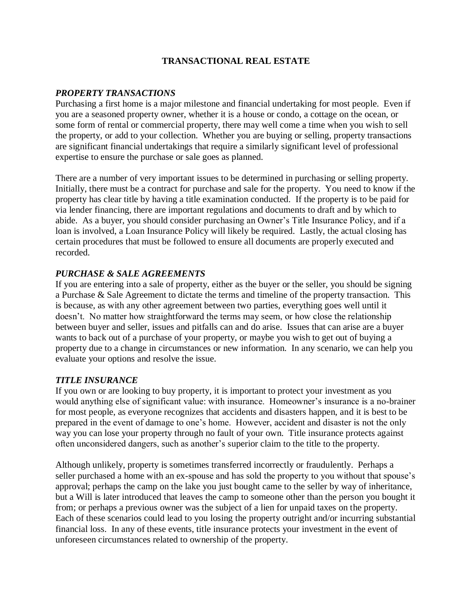# **TRANSACTIONAL REAL ESTATE**

#### *PROPERTY TRANSACTIONS*

Purchasing a first home is a major milestone and financial undertaking for most people. Even if you are a seasoned property owner, whether it is a house or condo, a cottage on the ocean, or some form of rental or commercial property, there may well come a time when you wish to sell the property, or add to your collection. Whether you are buying or selling, property transactions are significant financial undertakings that require a similarly significant level of professional expertise to ensure the purchase or sale goes as planned.

There are a number of very important issues to be determined in purchasing or selling property. Initially, there must be a contract for purchase and sale for the property. You need to know if the property has clear title by having a title examination conducted. If the property is to be paid for via lender financing, there are important regulations and documents to draft and by which to abide. As a buyer, you should consider purchasing an Owner's Title Insurance Policy, and if a loan is involved, a Loan Insurance Policy will likely be required. Lastly, the actual closing has certain procedures that must be followed to ensure all documents are properly executed and recorded.

## *PURCHASE & SALE AGREEMENTS*

If you are entering into a sale of property, either as the buyer or the seller, you should be signing a Purchase & Sale Agreement to dictate the terms and timeline of the property transaction. This is because, as with any other agreement between two parties, everything goes well until it doesn't. No matter how straightforward the terms may seem, or how close the relationship between buyer and seller, issues and pitfalls can and do arise. Issues that can arise are a buyer wants to back out of a purchase of your property, or maybe you wish to get out of buying a property due to a change in circumstances or new information. In any scenario, we can help you evaluate your options and resolve the issue.

## *TITLE INSURANCE*

If you own or are looking to buy property, it is important to protect your investment as you would anything else of significant value: with insurance. Homeowner's insurance is a no-brainer for most people, as everyone recognizes that accidents and disasters happen, and it is best to be prepared in the event of damage to one's home. However, accident and disaster is not the only way you can lose your property through no fault of your own. Title insurance protects against often unconsidered dangers, such as another's superior claim to the title to the property.

Although unlikely, property is sometimes transferred incorrectly or fraudulently. Perhaps a seller purchased a home with an ex-spouse and has sold the property to you without that spouse's approval; perhaps the camp on the lake you just bought came to the seller by way of inheritance, but a Will is later introduced that leaves the camp to someone other than the person you bought it from; or perhaps a previous owner was the subject of a lien for unpaid taxes on the property. Each of these scenarios could lead to you losing the property outright and/or incurring substantial financial loss. In any of these events, title insurance protects your investment in the event of unforeseen circumstances related to ownership of the property.